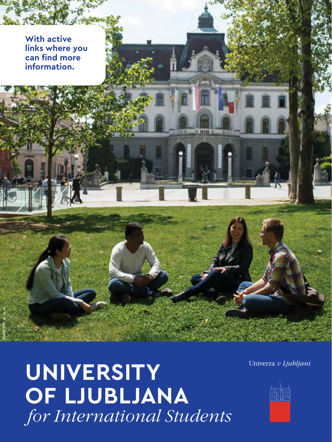**With active links where you can find more information.**

Foto: IFP, d. o. o.

**UNIVERSITY OF LJUBLJANA**   *for International Students* Univerza v Ljubljani

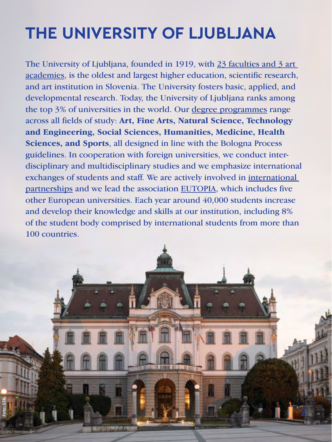# **THE UNIVERSITY OF LJUBLJANA**

The University of Ljubljana, founded in 1919, with [23 faculties and 3 art](https://www.uni-lj.si/study/members/)  [academies,](https://www.uni-lj.si/study/members/) is the oldest and largest higher education, scientific research, and art institution in Slovenia. The University fosters basic, applied, and developmental research. Today, the University of Ljubljana ranks among the top 3% of universities in the world. Our [degree programmes](https://www.uni-lj.si/study/information/study-programmes/) range across all fields of study: **Art, Fine Arts, Natural Science, Technology and Engineering, Social Sciences, Humanities, Medicine, Health Sciences, and Sports**, all designed in line with the Bologna Process guidelines. In cooperation with foreign universities, we conduct interdisciplinary and multidisciplinary studies and we emphasize international exchanges of students and staff. We are actively involved in [international](https://www.uni-lj.si/study/partners/)  [partnerships](https://www.uni-lj.si/study/partners/) and we lead the association [EUTOPIA](https://eutopia-university.eu), which includes five other European universities. Each year around 40,000 students increase and develop their knowledge and skills at our institution, including 8% of the student body comprised by international students from more than 100 countries.

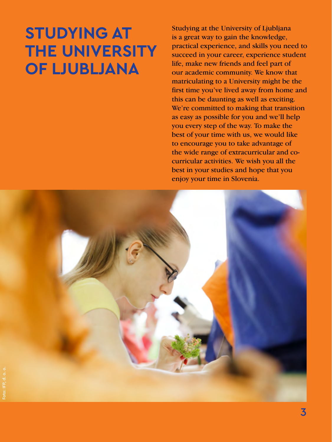# **STUDYING AT THE UNIVERSITY OF LJUBLJANA**

Studying at the University of Ljubljana is a great way to gain the knowledge, practical experience, and skills you need to succeed in your career, experience student life, make new friends and feel part of our academic community. We know that matriculating to a University might be the first time you've lived away from home and this can be daunting as well as exciting. We're committed to making that transition as easy as possible for you and we'll help you every step of the way. To make the best of your time with us, we would like to encourage you to take advantage of the wide range of extracurricular and cocurricular activities. We wish you all the best in your studies and hope that you enjoy your time in Slovenia.

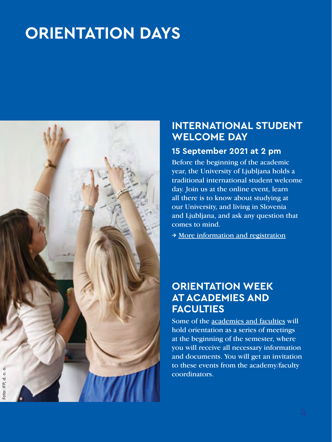# **ORIENTATION DAYS**



#### **INTERNATIONAL STUDENT WELCOME DAY**

#### **15 September 2021 at 2 pm**

Before the beginning of the academic year, the University of Ljubljana holds a traditional international student welcome day. Join us at the online event, learn all there is to know about studying at our University, and living in Slovenia and Ljubljana, and ask any question that comes to mind.

→ [More information and registration](https://www.uni-lj.si/study/news/reception)

### **ORIENTATION WEEK AT ACADEMIES AND FACULTIES**

Some of the [academies and faculties](https://www.uni-lj.si/study/members/) will hold orientation as a series of meetings at the beginning of the semester, where you will receive all necessary information and documents. You will get an invitation to these events from the academy/faculty coordinators.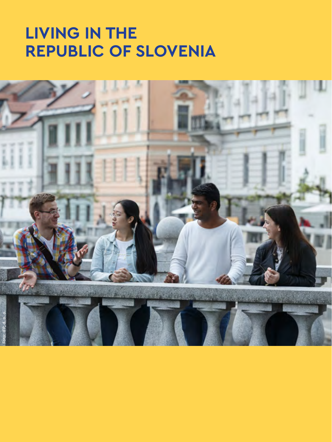# **LIVING IN THE REPUBLIC OF SLOVENIA**

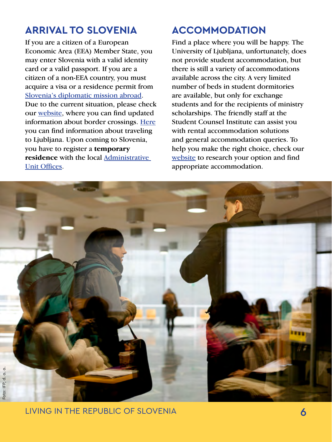### **ARRIVAL TO SLOVENIA**

If you are a citizen of a European Economic Area (EEA) Member State, you may enter Slovenia with a valid identity card or a valid passport. If you are a citizen of a non-EEA country, you must acquire a visa or a residence permit from [Slovenia's diplomatic mission abroad.](https://www.gov.si/en/countries/) Due to the current situation, please check our [website](https://www.uni-lj.si/study/news/arrival/), where you can find updated information about border crossings. [Here](https://www.uni-lj.si/study/information/ljubljana) you can find information about traveling to Ljubljana. Upon coming to Slovenia, you have to register a **temporary residence** with the local [Administrative](https://www.uni-lj.si/study/information/temporary-residence-permit-in-the-republic-of-slovenia)  [Unit Offices](https://www.uni-lj.si/study/information/temporary-residence-permit-in-the-republic-of-slovenia).

# **ACCOMMODATION**

Find a place where you will be happy. The University of Ljubljana, unfortunately, does not provide student accommodation, but there is still a variety of accommodations available across the city. A very limited number of beds in student dormitories are available, but only for exchange students and for the recipients of ministry scholarships. The friendly staff at the Student Counsel Institute can assist you with rental accommodation solutions and general accommodation queries. To help you make the right choice, check our [website](https://www.uni-lj.si/study/information/accommodation) to research your option and find appropriate accommodation.

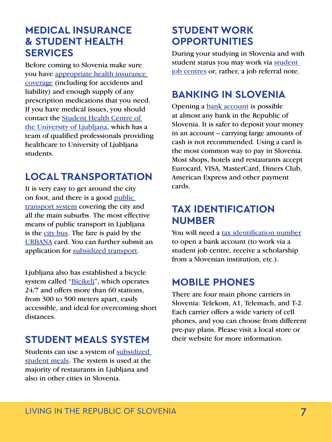#### **MEDICAL INSURANCE & STUDENT HEALTH SERVICES**

Before coming to Slovenia make sure you have [appropriate health insurance](https://www.uni-lj.si/study/information/health-insurance)  [coverage](https://www.uni-lj.si/study/information/health-insurance) (including for accidents and liability) and enough supply of any prescription medications that you need. If you have medical issues, you should contact the [Student Health Centre of](https://www.zdstudenti.si/en/)  [the University of Ljubljana](https://www.zdstudenti.si/en/), which has a team of qualified professionals providing healthcare to University of Ljubljana students.

# **LOCAL TRANSPORTATION**

It is very easy to get around the city on foot, and there is a good [public](https://www.uni-lj.si/study/information/local-transport)  [transport system](https://www.uni-lj.si/study/information/local-transport) covering the city and all the main suburbs. The most effective means of public transport in Ljubljana is the [city bus.](https://www.lpp.si/) The fare is paid by the [URBANA](https://urbana.jhl.si/en) card. You can further submit an application for [subsidized transport](https://e-uprava.gov.si/podrocja/vloge/vloga.html?id=3245).

Ljubljana also has established a bicycle system called "[Bicikelj](https://www.bicikelj.si/en/home)", which operates 24/7 and offers more than 60 stations, from 300 to 500 meters apart, easily accessible, and ideal for overcoming short distances.

### **STUDENT MEALS SYSTEM**

Students can use a system of [subsidized](https://www.uni-lj.si/study/information/subsidised-student-meals)  [student meals](https://www.uni-lj.si/study/information/subsidised-student-meals). The system is used at the majority of restaurants in Liubliana and also in other cities in Slovenia.

## **STUDENT WORK OPPORTUNITIES**

During your studying in Slovenia and with [student](https://www.uni-lj.si/study/information/student--work-opportunities) status you may work via student [job centres](https://www.uni-lj.si/study/information/student--work-opportunities) or, rather, a job referral note.

# **BANKING IN SLOVENIA**

Opening a [bank account](https://www.uni-lj.si/study/information/bank-account) is possible at almost any bank in the Republic of Slovenia. It is safer to deposit your money in an account – carrying large amounts of cash is not recommended. Using a card is the most common way to pay in Slovenia. Most shops, hotels and restaurants accept Eurocard, VISA, MasterCard, Diners Club, American Express and other payment cards.

#### **TAX IDENTIFICATION NUMBER**

You will need a [tax identification number](https://www.uni-lj.si/study/information/tax-identification-number) to open a bank account (to work via a student job centre, receive a scholarship from a Slovenian institution, etc.).

#### **MOBILE PHONES**

There are four main phone carriers in Slovenia: Telekom, A1, Telemach, and T-2. Each carrier offers a wide variety of cell phones, and you can choose from different pre-pay plans. Please visit a local store or their website for more information.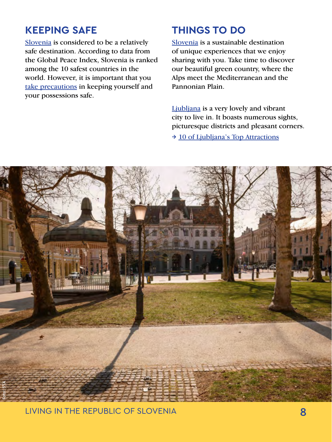#### **KEEPING SAFE**

[Slovenia](https://www.uni-lj.si/study/information/slovenia) is considered to be a relatively safe destination. According to data from the Global Peace Index, Slovenia is ranked among the 10 safest countries in the world. However, it is important that you [take precautions](https://www.slovenia.info/en/plan-your-trip/practical-info/safety) in keeping yourself and your possessions safe.

#### **THINGS TO DO**

[Slovenia](https://www.slovenia.info/en) is a sustainable destination of unique experiences that we enjoy sharing with you. Take time to discover our beautiful green country, where the Alps meet the Mediterranean and the Pannonian Plain.

[Ljubljana](https://www.uni-lj.si/study/information/ljubljana) is a very lovely and vibrant city to live in. It boasts numerous sights, picturesque districts and pleasant corners. → [10 of Ljubljana's Top Attractions](https://www.visitljubljana.com/en/visitors/explore/things-to-do/sightseeing/article/10-ljubljanas-top-attractions/)

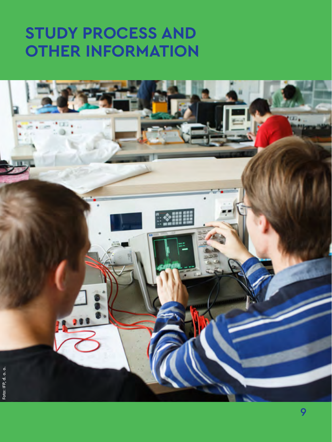# **STUDY PROCESS AND OTHER INFORMATION**

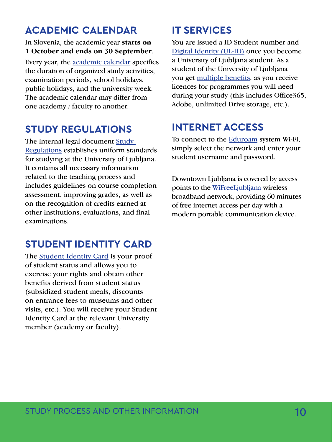#### **ACADEMIC CALENDAR**

#### In Slovenia, the academic year **starts on 1 October and ends on 30 September**.

Every year, the [academic calendar](https://www.uni-lj.si/study/information/academic-calendar) specifies the duration of organized study activities, examination periods, school holidays, public holidays, and the university week. The academic calendar may differ from one academy / faculty to another.

### **STUDY REGULATIONS**

The internal legal document [Study](https://www.uni-lj.si/study/information/regulation)  [Regulations](https://www.uni-lj.si/study/information/regulation) establishes uniform standards for studying at the University of Ljubljana. It contains all necessary information related to the teaching process and includes guidelines on course completion assessment, improving grades, as well as on the recognition of credits earned at other institutions, evaluations, and final examinations.

# **STUDENT IDENTITY CARD**

The [Student Identity Card](https://www.uni-lj.si/study/information/student-identity-card) is your proof of student status and allows you to exercise your rights and obtain other benefits derived from student status (subsidized student meals, discounts on entrance fees to museums and other visits, etc.). You will receive your Student Identity Card at the relevant University member (academy or faculty).

# **IT SERVICES**

You are issued a ID Student number and [Digital Identity \(UL-ID\)](https://www.uni-lj.si/studentsko_zivljenje/informacijske_storitve/) once you become a University of Ljubljana student. As a student of the University of Ljubljana you get [multiple benefits,](https://www.uni-lj.si/study/information/it-services) as you receive licences for programmes you will need during your study (this includes Office365, Adobe, unlimited Drive storage, etc.).

# **INTERNET ACCESS**

To connect to the [Eduroam](https://www.arnes.si/helpdesk/eduroam/) system Wi-Fi, simply select the network and enter your student username and password.

Downtown Ljubljana is covered by access points to the [WiFreeLjubljana](https://www.wifreeljubljana.si/en/wifreeljubljana) wireless broadband network, providing 60 minutes of free internet access per day with a modern portable communication device.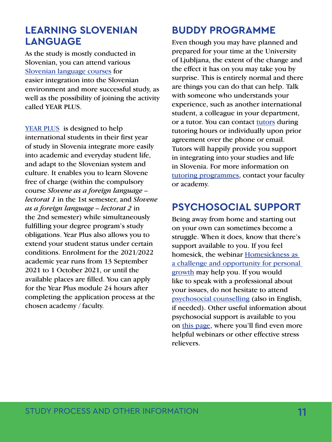#### **LEARNING SLOVENIAN LANGUAGE**

As the study is mostly conducted in Slovenian, you can attend various [Slovenian language courses](https://www.uni-lj.si/study/learning-slovene/) for easier integration into the Slovenian environment and more successful study, as well as the possibility of joining the activity called YEAR PLUS.

[YEAR PLUS](https://www.uni-lj.si/study/year-plus) is designed to help international students in their first year of study in Slovenia integrate more easily into academic and everyday student life, and adapt to the Slovenian system and culture. It enables you to learn Slovene free of charge (within the compulsory course *Slovene as a foreign language – lectorat 1* in the 1st semester, and *Slovene as a foreign language – lectorat 2* in the 2nd semester) while simultaneously fulfilling your degree program's study obligations. Year Plus also allows you to extend your student status under certain conditions. Enrolment for the 2021/2022 academic year runs from 13 September 2021 to 1 October 2021, or until the available places are filled. You can apply for the Year Plus module 24 hours after completing the application process at the chosen academy / faculty.

## **BUDDY PROGRAMME**

Even though you may have planned and prepared for your time at the University of Ljubljana, the extent of the change and the effect it has on you may take you by surprise. This is entirely normal and there are things you can do that can help. Talk with someone who understands your experience, such as another international student, a colleague in your department, or a tutor. You can contact [tutors](https://www.uni-lj.si/study/activities/tutelage/) during tutoring hours or individually upon prior agreement over the phone or email. Tutors will happily provide you support in integrating into your studies and life in Slovenia. For more information on [tutoring programmes,](https://www.uni-lj.si/studij/osnovne_informacije/tutorstvo-na-posamezni-clanici) contact your faculty or academy.

## **PSYCHOSOCIAL SUPPORT**

Being away from home and starting out on your own can sometimes become a struggle. When it does, know that there's support available to you. If you feel homesick, the webinar [Homesickness as](https://www.youtube.com/watch?v=rU60z234g4Y)  [a challenge and opportunity for personal](https://www.youtube.com/watch?v=rU60z234g4Y)  [growth](https://www.youtube.com/watch?v=rU60z234g4Y) may help you. If you would like to speak with a professional about your issues, do not hesitate to attend [psychosocial counselling](https://www.pef.uni-lj.si/894.html) (also in English, if needed). Other useful information about psychosocial support is available to you on [this page,](https://kc.uni-lj.si/sl/aktualno/hitre-novice/2021021809512623/how-to-make-advantage-of-staying-at-home-) where you'll find even more helpful webinars or other effective stress relievers.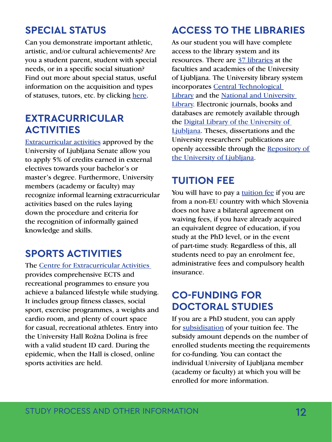# **SPECIAL STATUS**

Can you demonstrate important athletic, artistic, and/or cultural achievements? Are you a student parent, student with special needs, or in a specific social situation? Find out more about special status, useful information on the acquisition and types of statuses, tutors, etc. by clicking [here.](https://www.uni-lj.si/studij/studenti-s-posebnim-statusom/)

#### **EXTRACURRICULAR ACTIVITIES**

[Extracurricular activities](https://www.uni-lj.si/study/activities/extracurricular-activities/) approved by the University of Ljubljana Senate allow you to apply 5% of credits earned in external electives towards your bachelor's or master's degree. Furthermore, University members (academy or faculty) may recognize informal learning extracurricular activities based on the rules laying down the procedure and criteria for the recognition of informally gained knowledge and skills.

### **SPORTS ACTIVITIES**

The [Centre for Extracurricular Activities](https://www.uni-lj.si/extracurricular_activities/sport_en/)  provides comprehensive ECTS and recreational programmes to ensure you achieve a balanced lifestyle while studying. It includes group fitness classes, social sport, exercise programmes, a weights and cardio room, and plenty of court space for casual, recreational athletes. Entry into the University Hall Rožna Dolina is free with a valid student ID card. During the epidemic, when the Hall is closed, online sports activities are held.

# **ACCESS TO THE LIBRARIES**

As our student you will have complete access to the library system and its resources. There are [37 libraries](https://www.uni-lj.si/libraries/university_libraries) at the faculties and academies of the University of Ljubljana. The University library system incorporates [Central Technological](http://www.ctk.uni-lj.si/about/)  [Library](http://www.ctk.uni-lj.si/about/) and the [National and University](https://www.nuk.uni-lj.si/eng/)  [Library.](https://www.nuk.uni-lj.si/eng/) Electronic journals, books and databases are remotely available through the [Digital Library of the University of](https://plus-ul.si.cobiss.net/opac7/bib/search?db=ul&ds=true)  [Ljubljana.](https://plus-ul.si.cobiss.net/opac7/bib/search?db=ul&ds=true) Theses, dissertations and the University researchers' publications are openly accessible through the [Repository of](https://repozitorij.uni-lj.si/info/index.php/eng/)  [the University of Ljubljana](https://repozitorij.uni-lj.si/info/index.php/eng/).

#### **TUITION FEE**

You will have to pay a [tuition fee](https://www.uni-lj.si/study/information/tuition/) if you are from a non-EU country with which Slovenia does not have a bilateral agreement on waiving fees, if you have already acquired an equivalent degree of education, if you study at the PhD level, or in the event of part-time study. Regardless of this, all students need to pay an enrolment fee, administrative fees and compulsory health insurance.

### **CO-FUNDING FOR DOCTORAL STUDIES**

If you are a PhD student, you can apply for [subsidisation](https://www.uni-lj.si/doctoral_school/funding/) of your tuition fee. The subsidy amount depends on the number of enrolled students meeting the requirements for co-funding. You can contact the individual University of Ljubljana member (academy or faculty) at which you will be enrolled for more information.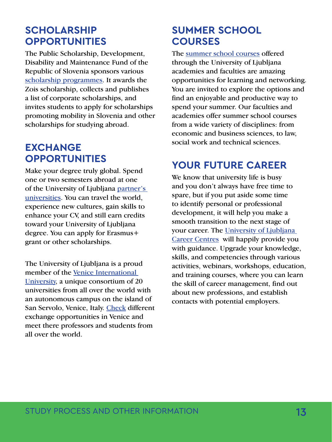#### **SCHOLARSHIP OPPORTUNITIES**

The Public Scholarship, Development, Disability and Maintenance Fund of the Republic of Slovenia sponsors various [scholarship programmes](https://www.uni-lj.si/study/information/scholarships/). It awards the Zois scholarship, collects and publishes a list of corporate scholarships, and invites students to apply for scholarships promoting mobility in Slovenia and other scholarships for studying abroad.

### **EXCHANGE OPPORTUNITIES**

Make your degree truly global. Spend one or two semesters abroad at one of the University of Ljubljana [partner's](https://www.uni-lj.si/international_cooperation_and_exchange/)  [universities.](https://www.uni-lj.si/international_cooperation_and_exchange/) You can travel the world, experience new cultures, gain skills to enhance your CV, and still earn credits toward your University of Ljubljana degree. You can apply for Erasmus+ grant or other scholarships.

The University of Ljubljana is a proud member of the [Venice International](https://www.univiu.org/)  [University](https://www.univiu.org/), a unique consortium of 20 universities from all over the world with an autonomous campus on the island of San Servolo, Venice, Italy. [Check](https://www.uni-lj.si/studij/partnerji/viu) different exchange opportunities in Venice and meet there professors and students from all over the world.

## **SUMMER SCHOOL COURSES**

The [summer school courses](https://www.uni-lj.si/study/summerschools/) offered through the University of Ljubljana academies and faculties are amazing opportunities for learning and networking. You are invited to explore the options and find an enjoyable and productive way to spend your summer. Our faculties and academies offer summer school courses from a wide variety of disciplines: from economic and business sciences, to law, social work and technical sciences.

### **YOUR FUTURE CAREER**

We know that university life is busy and you don't always have free time to spare, but if you put aside some time to identify personal or professional development, it will help you make a smooth transition to the next stage of your career. The [University of Ljubljana](https://kc.uni-lj.si/)  [Career Centres](https://kc.uni-lj.si/) will happily provide you with guidance. Upgrade your knowledge, skills, and competencies through various activities, webinars, workshops, education, and training courses, where you can learn the skill of career management, find out about new professions, and establish contacts with potential employers.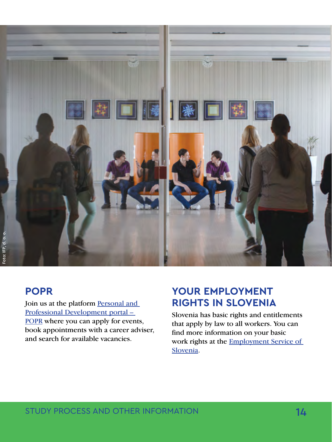

#### **POPR**

Join us at the platform Personal and [Professional Development portal –](https://www.uni-lj.si/study/study-popr/)  [POPR](https://www.uni-lj.si/study/study-popr/) where you can apply for events, book appointments with a career adviser, and search for available vacancies.

#### YOUR EMPLOYMENT **RIGHTS IN SLOVENIA**

Slovenia has basic rights and entitlements that apply by law to all workers. You can find more information on your basic work rights at the [Employment Service of](http://english.ess.gov.si/)  [Slovenia](http://english.ess.gov.si/).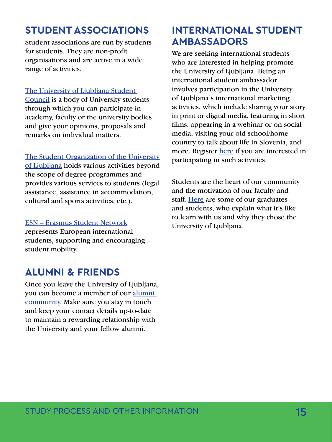## **STUDENT ASSOCIATIONS**

Student associations are run by students for students. They are non-profit organisations and are active in a wide range of activities.

#### [The University of Ljubljana Student](https://www.uni-lj.si/study/student-council/)

[Council](https://www.uni-lj.si/study/student-council/) is a body of University students through which you can participate in academy, faculty or the university bodies and give your opinions, proposals and remarks on individual matters.

[The Student Organization of the University](https://www.sou-lj.si/sl) 

[of Ljubljana](https://www.sou-lj.si/sl) holds various activities beyond the scope of degree programmes and provides various services to students (legal assistance, assistance in accommodation, cultural and sports activities, etc.).

#### [ESN – Erasmus Student Network](https://www.sou-lj.si/sl/vsebina/esn-erasmus-student-network)

represents European international students, supporting and encouraging student mobility.

#### **ALUMNI & FRIENDS**

Once you leave the University of Ljubljana, you can become a member of our [alumni](https://alumniul.online/)  [community](https://alumniul.online/). Make sure you stay in touch and keep your contact details up-to-date to maintain a rewarding relationship with the University and your fellow alumni.

### **INTERNATIONAL STUDENT AMBASSADORS**

We are seeking international students who are interested in helping promote the University of Ljubljana. Being an international student ambassador involves participation in the University of Ljubljana's international marketing activities, which include sharing your story in print or digital media, featuring in short films, appearing in a webinar or on social media, visiting your old school/home country to talk about life in Slovenia, and more. Register [here](https://docs.google.com/forms/d/e/1FAIpQLSfa22meT_qqxZZ-1ze4Mof40_6heytfhPrOWuZfiAq6UK35Sg/viewform) if you are interested in participating in such activities.

Students are the heart of our community and the motivation of our faculty and staff. [Here](https://www.uni-lj.si/study/impressions/) are some of our graduates and students, who explain what it's like to learn with us and why they chose the University of Ljubljana.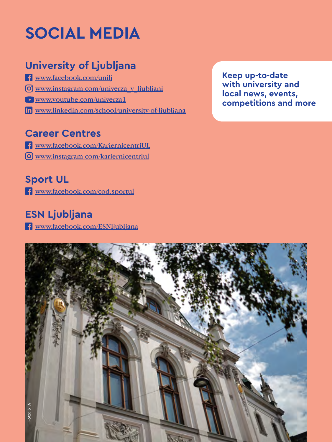# **SOCIAL MEDIA**

# **University of Ljubljana**

- [www.facebook.com/unilj](https://www.facebook.com/unilj)
- [www.instagram.com/univerza\\_v\\_ljubljani](https://www.instagram.com/univerza_v_ljubljani/)
- [www.youtube.com/univerza1](https://www.youtube.com/user/univerza1)
- [www.linkedin.com/school/university-of-ljubljana](https://www.linkedin.com/school/university-of-ljubljana)

### **Career Centres**

- [www.facebook.com/KariernicentriUL](https://www.facebook.com/KariernicentriUL)
- [www.instagram.com/kariernicentriul](https://www.instagram.com/kariernicentriul/)

#### **Sport UL**

[www.facebook.com/cod.sportul](https://www.facebook.com/cod.sportul)

# **ESN Ljubljana**

[www.facebook.com/ESNljubljana](https://www.facebook.com/ESNljubljana) 

**Keep up-to-date with university and local news, events, competitions and more**